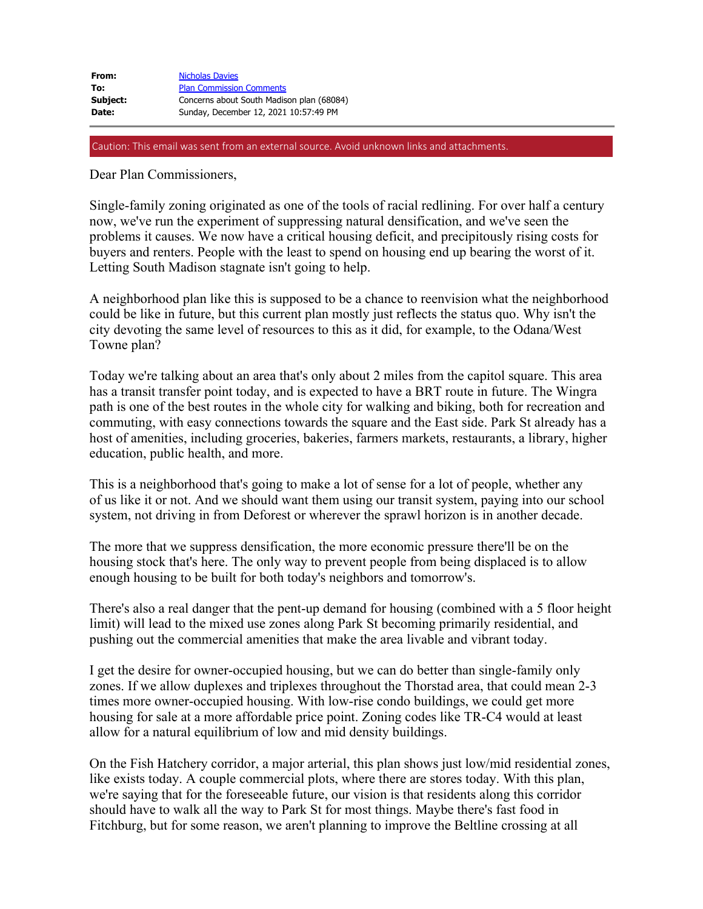| From:        | <b>Nicholas Davies</b>                    |
|--------------|-------------------------------------------|
| To:          | <b>Plan Commission Comments</b>           |
| Subject:     | Concerns about South Madison plan (68084) |
| <b>Date:</b> | Sunday, December 12, 2021 10:57:49 PM     |

Caution: This email was sent from an external source. Avoid unknown links and attachments.

Dear Plan Commissioners,

Single-family zoning originated as one of the tools of racial redlining. For over half a century now, we've run the experiment of suppressing natural densification, and we've seen the problems it causes. We now have a critical housing deficit, and precipitously rising costs for buyers and renters. People with the least to spend on housing end up bearing the worst of it. Letting South Madison stagnate isn't going to help.

A neighborhood plan like this is supposed to be a chance to reenvision what the neighborhood could be like in future, but this current plan mostly just reflects the status quo. Why isn't the city devoting the same level of resources to this as it did, for example, to the Odana/West Towne plan?

Today we're talking about an area that's only about 2 miles from the capitol square. This area has a transit transfer point today, and is expected to have a BRT route in future. The Wingra path is one of the best routes in the whole city for walking and biking, both for recreation and commuting, with easy connections towards the square and the East side. Park St already has a host of amenities, including groceries, bakeries, farmers markets, restaurants, a library, higher education, public health, and more.

This is a neighborhood that's going to make a lot of sense for a lot of people, whether any of us like it or not. And we should want them using our transit system, paying into our school system, not driving in from Deforest or wherever the sprawl horizon is in another decade.

The more that we suppress densification, the more economic pressure there'll be on the housing stock that's here. The only way to prevent people from being displaced is to allow enough housing to be built for both today's neighbors and tomorrow's.

There's also a real danger that the pent-up demand for housing (combined with a 5 floor height limit) will lead to the mixed use zones along Park St becoming primarily residential, and pushing out the commercial amenities that make the area livable and vibrant today.

I get the desire for owner-occupied housing, but we can do better than single-family only zones. If we allow duplexes and triplexes throughout the Thorstad area, that could mean 2-3 times more owner-occupied housing. With low-rise condo buildings, we could get more housing for sale at a more affordable price point. Zoning codes like TR-C4 would at least allow for a natural equilibrium of low and mid density buildings.

On the Fish Hatchery corridor, a major arterial, this plan shows just low/mid residential zones, like exists today. A couple commercial plots, where there are stores today. With this plan, we're saying that for the foreseeable future, our vision is that residents along this corridor should have to walk all the way to Park St for most things. Maybe there's fast food in Fitchburg, but for some reason, we aren't planning to improve the Beltline crossing at all